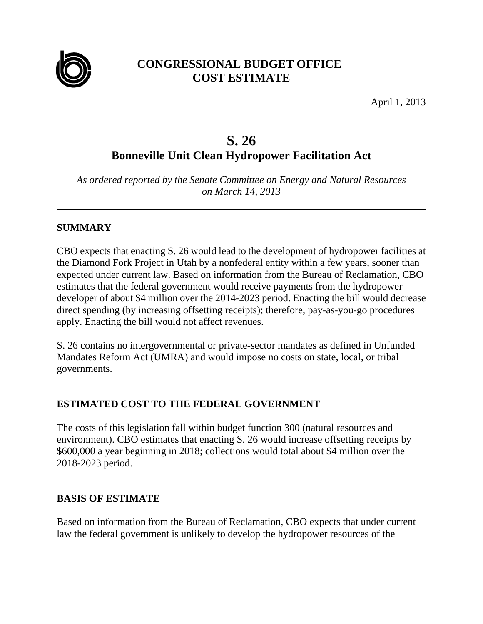

# **CONGRESSIONAL BUDGET OFFICE COST ESTIMATE**

April 1, 2013

# **S. 26**

**Bonneville Unit Clean Hydropower Facilitation Act** 

*As ordered reported by the Senate Committee on Energy and Natural Resources on March 14, 2013* 

## **SUMMARY**

CBO expects that enacting S. 26 would lead to the development of hydropower facilities at the Diamond Fork Project in Utah by a nonfederal entity within a few years, sooner than expected under current law. Based on information from the Bureau of Reclamation, CBO estimates that the federal government would receive payments from the hydropower developer of about \$4 million over the 2014-2023 period. Enacting the bill would decrease direct spending (by increasing offsetting receipts); therefore, pay-as-you-go procedures apply. Enacting the bill would not affect revenues.

S. 26 contains no intergovernmental or private-sector mandates as defined in Unfunded Mandates Reform Act (UMRA) and would impose no costs on state, local, or tribal governments.

# **ESTIMATED COST TO THE FEDERAL GOVERNMENT**

The costs of this legislation fall within budget function 300 (natural resources and environment). CBO estimates that enacting S. 26 would increase offsetting receipts by \$600,000 a year beginning in 2018; collections would total about \$4 million over the 2018-2023 period.

### **BASIS OF ESTIMATE**

Based on information from the Bureau of Reclamation, CBO expects that under current law the federal government is unlikely to develop the hydropower resources of the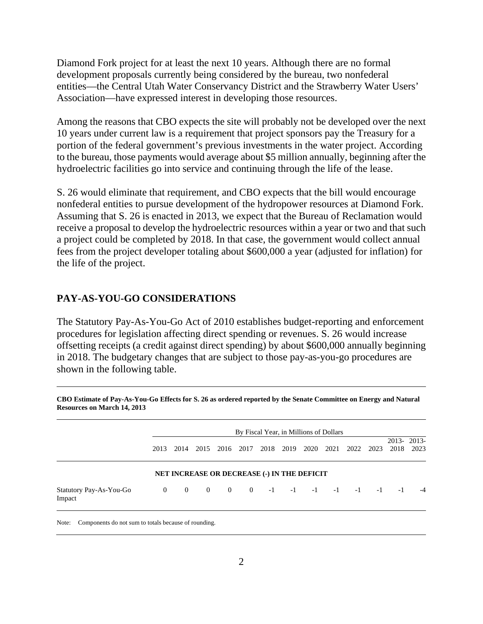Diamond Fork project for at least the next 10 years. Although there are no formal development proposals currently being considered by the bureau, two nonfederal entities—the Central Utah Water Conservancy District and the Strawberry Water Users' Association—have expressed interest in developing those resources.

Among the reasons that CBO expects the site will probably not be developed over the next 10 years under current law is a requirement that project sponsors pay the Treasury for a portion of the federal government's previous investments in the water project. According to the bureau, those payments would average about \$5 million annually, beginning after the hydroelectric facilities go into service and continuing through the life of the lease.

S. 26 would eliminate that requirement, and CBO expects that the bill would encourage nonfederal entities to pursue development of the hydropower resources at Diamond Fork. Assuming that S. 26 is enacted in 2013, we expect that the Bureau of Reclamation would receive a proposal to develop the hydroelectric resources within a year or two and that such a project could be completed by 2018. In that case, the government would collect annual fees from the project developer totaling about \$600,000 a year (adjusted for inflation) for the life of the project.

#### **PAY-AS-YOU-GO CONSIDERATIONS**

The Statutory Pay-As-You-Go Act of 2010 establishes budget-reporting and enforcement procedures for legislation affecting direct spending or revenues. S. 26 would increase offsetting receipts (a credit against direct spending) by about \$600,000 annually beginning in 2018. The budgetary changes that are subject to those pay-as-you-go procedures are shown in the following table.

|                                   | By Fiscal Year, in Millions of Dollars |                |                |                                             |                |      |      |           |      |      |      |      |                    |
|-----------------------------------|----------------------------------------|----------------|----------------|---------------------------------------------|----------------|------|------|-----------|------|------|------|------|--------------------|
|                                   | 2013                                   | 2014           | 2015           | 2016                                        | 2017           | 2018 | 2019 | 2020      | 2021 | 2022 | 2023 | 2018 | 2013-2013-<br>2023 |
|                                   |                                        |                |                | NET INCREASE OR DECREASE (-) IN THE DEFICIT |                |      |      |           |      |      |      |      |                    |
| Statutory Pay-As-You-Go<br>Impact | $\overline{0}$                         | $\overline{0}$ | $\overline{0}$ | $\mathbf{0}$                                | $\overline{0}$ | $-1$ |      | $-1$ $-1$ | $-1$ | $-1$ | $-1$ | $-1$ | $-4$               |

**CBO Estimate of Pay-As-You-Go Effects for S. 26 as ordered reported by the Senate Committee on Energy and Natural Resources on March 14, 2013**